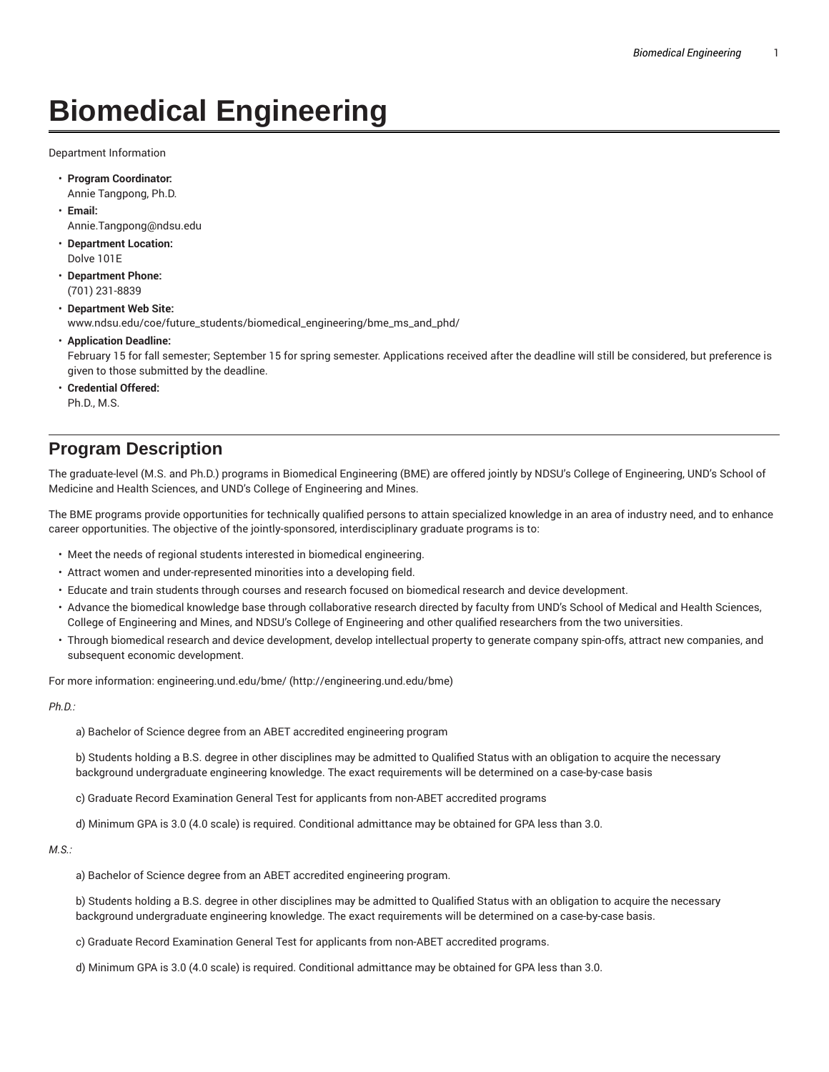## **Biomedical Engineering**

Department Information

- **Program Coordinator:** Annie Tangpong, Ph.D.
- **Email:** Annie.Tangpong@ndsu.edu
- **Department Location:** Dolve 101E
- **Department Phone:** (701) 231-8839
- **Department Web Site:** www.ndsu.edu/coe/future\_students/biomedical\_engineering/bme\_ms\_and\_phd/
- **Application Deadline:**

February 15 for fall semester; September 15 for spring semester. Applications received after the deadline will still be considered, but preference is given to those submitted by the deadline.

• **Credential Offered:** Ph.D., M.S.

## **Program Description**

The graduate-level (M.S. and Ph.D.) programs in Biomedical Engineering (BME) are offered jointly by NDSU's College of Engineering, UND's School of Medicine and Health Sciences, and UND's College of Engineering and Mines.

The BME programs provide opportunities for technically qualified persons to attain specialized knowledge in an area of industry need, and to enhance career opportunities. The objective of the jointly-sponsored, interdisciplinary graduate programs is to:

- Meet the needs of regional students interested in biomedical engineering.
- Attract women and under-represented minorities into a developing field.
- Educate and train students through courses and research focused on biomedical research and device development.
- Advance the biomedical knowledge base through collaborative research directed by faculty from UND's School of Medical and Health Sciences, College of Engineering and Mines, and NDSU's College of Engineering and other qualified researchers from the two universities.
- Through biomedical research and device development, develop intellectual property to generate company spin-offs, attract new companies, and subsequent economic development.

For more information: engineering.und.edu/bme/ (http://engineering.und.edu/bme)

*Ph.D.:*

a) Bachelor of Science degree from an ABET accredited engineering program

b) Students holding a B.S. degree in other disciplines may be admitted to Qualified Status with an obligation to acquire the necessary background undergraduate engineering knowledge. The exact requirements will be determined on a case-by-case basis

c) Graduate Record Examination General Test for applicants from non-ABET accredited programs

d) Minimum GPA is 3.0 (4.0 scale) is required. Conditional admittance may be obtained for GPA less than 3.0.

*M.S.:*

a) Bachelor of Science degree from an ABET accredited engineering program.

b) Students holding a B.S. degree in other disciplines may be admitted to Qualified Status with an obligation to acquire the necessary background undergraduate engineering knowledge. The exact requirements will be determined on a case-by-case basis.

- c) Graduate Record Examination General Test for applicants from non-ABET accredited programs.
- d) Minimum GPA is 3.0 (4.0 scale) is required. Conditional admittance may be obtained for GPA less than 3.0.